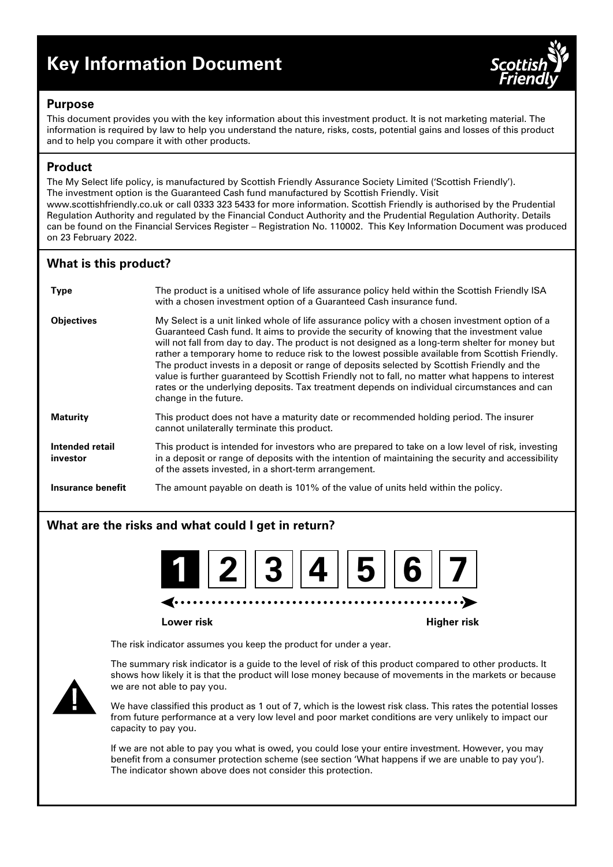# **Key Information Document**



## **Purpose**

This document provides you with the key information about this investment product. It is not marketing material. The information is required by law to help you understand the nature, risks, costs, potential gains and losses of this product and to help you compare it with other products.

# **Product**

The My Select life policy, is manufactured by Scottish Friendly Assurance Society Limited ('Scottish Friendly'). The investment option is the Guaranteed Cash fund manufactured by Scottish Friendly. Visit www.scottishfriendly.co.uk or call 0333 323 5433 for more information. Scottish Friendly is authorised by the Prudential Regulation Authority and regulated by the Financial Conduct Authority and the Prudential Regulation Authority. Details can be found on the Financial Services Register – Registration No. 110002. This Key Information Document was produced on 23 February 2022.

# **What is this product?**

| <b>Type</b>                 | The product is a unitised whole of life assurance policy held within the Scottish Friendly ISA<br>with a chosen investment option of a Guaranteed Cash insurance fund.                                                                                                                                                                                                                                                                                                                                                                                                                                                                                                                                                        |
|-----------------------------|-------------------------------------------------------------------------------------------------------------------------------------------------------------------------------------------------------------------------------------------------------------------------------------------------------------------------------------------------------------------------------------------------------------------------------------------------------------------------------------------------------------------------------------------------------------------------------------------------------------------------------------------------------------------------------------------------------------------------------|
| <b>Objectives</b>           | My Select is a unit linked whole of life assurance policy with a chosen investment option of a<br>Guaranteed Cash fund. It aims to provide the security of knowing that the investment value<br>will not fall from day to day. The product is not designed as a long-term shelter for money but<br>rather a temporary home to reduce risk to the lowest possible available from Scottish Friendly.<br>The product invests in a deposit or range of deposits selected by Scottish Friendly and the<br>value is further guaranteed by Scottish Friendly not to fall, no matter what happens to interest<br>rates or the underlying deposits. Tax treatment depends on individual circumstances and can<br>change in the future. |
| <b>Maturity</b>             | This product does not have a maturity date or recommended holding period. The insurer<br>cannot unilaterally terminate this product.                                                                                                                                                                                                                                                                                                                                                                                                                                                                                                                                                                                          |
| Intended retail<br>investor | This product is intended for investors who are prepared to take on a low level of risk, investing<br>in a deposit or range of deposits with the intention of maintaining the security and accessibility<br>of the assets invested, in a short-term arrangement.                                                                                                                                                                                                                                                                                                                                                                                                                                                               |
| Insurance benefit           | The amount payable on death is 101% of the value of units held within the policy.                                                                                                                                                                                                                                                                                                                                                                                                                                                                                                                                                                                                                                             |

# **What are the risks and what could I get in return?**



**Lower risk Higher risk**

The risk indicator assumes you keep the product for under a year.



The summary risk indicator is a guide to the level of risk of this product compared to other products. It shows how likely it is that the product will lose money because of movements in the markets or because we are not able to pay you.

We have classified this product as 1 out of 7, which is the lowest risk class. This rates the potential losses from future performance at a very low level and poor market conditions are very unlikely to impact our capacity to pay you.

If we are not able to pay you what is owed, you could lose your entire investment. However, you may benefit from a consumer protection scheme (see section 'What happens if we are unable to pay you'). The indicator shown above does not consider this protection.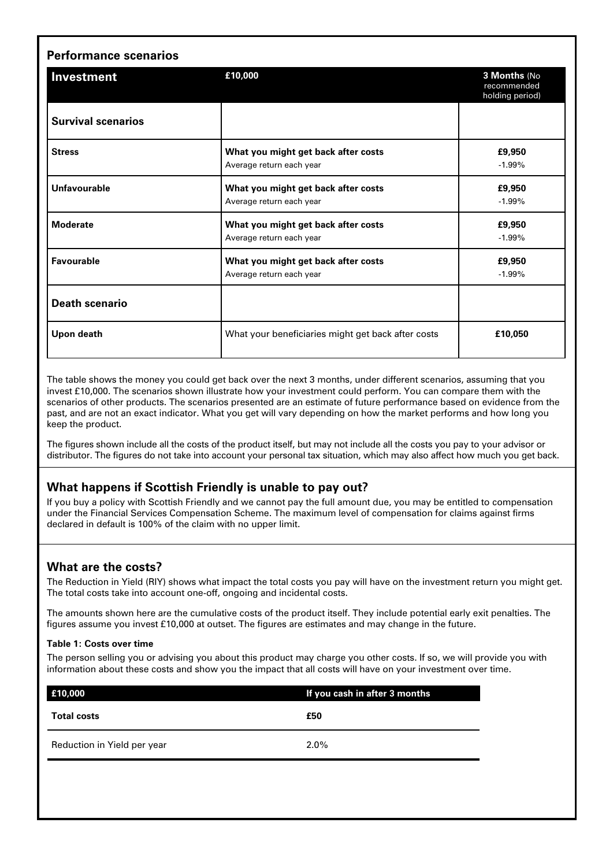| <b>Performance scenarios</b> |                                                                 |                                                |  |  |
|------------------------------|-----------------------------------------------------------------|------------------------------------------------|--|--|
| <b>Investment</b>            | £10,000                                                         | 3 Months (No<br>recommended<br>holding period) |  |  |
| <b>Survival scenarios</b>    |                                                                 |                                                |  |  |
| <b>Stress</b>                | What you might get back after costs<br>Average return each year | £9,950<br>$-1.99%$                             |  |  |
| <b>Unfavourable</b>          | What you might get back after costs<br>Average return each year | £9,950<br>$-1.99%$                             |  |  |
| <b>Moderate</b>              | What you might get back after costs<br>Average return each year | £9,950<br>$-1.99%$                             |  |  |
| Favourable                   | What you might get back after costs<br>Average return each year | £9,950<br>$-1.99%$                             |  |  |
| <b>Death scenario</b>        |                                                                 |                                                |  |  |
| Upon death                   | What your beneficiaries might get back after costs              | £10,050                                        |  |  |

The table shows the money you could get back over the next 3 months, under different scenarios, assuming that you invest £10,000. The scenarios shown illustrate how your investment could perform. You can compare them with the scenarios of other products. The scenarios presented are an estimate of future performance based on evidence from the past, and are not an exact indicator. What you get will vary depending on how the market performs and how long you keep the product.

The figures shown include all the costs of the product itself, but may not include all the costs you pay to your advisor or distributor. The figures do not take into account your personal tax situation, which may also affect how much you get back.

# **What happens if Scottish Friendly is unable to pay out?**

If you buy a policy with Scottish Friendly and we cannot pay the full amount due, you may be entitled to compensation under the Financial Services Compensation Scheme. The maximum level of compensation for claims against firms declared in default is 100% of the claim with no upper limit.

# **What are the costs?**

The Reduction in Yield (RIY) shows what impact the total costs you pay will have on the investment return you might get. The total costs take into account one-off, ongoing and incidental costs.

The amounts shown here are the cumulative costs of the product itself. They include potential early exit penalties. The figures assume you invest £10,000 at outset. The figures are estimates and may change in the future.

#### **Table 1: Costs over time**

The person selling you or advising you about this product may charge you other costs. If so, we will provide you with information about these costs and show you the impact that all costs will have on your investment over time.

| £10,000                     | If you cash in after 3 months |  |
|-----------------------------|-------------------------------|--|
| <b>Total costs</b>          | £50                           |  |
| Reduction in Yield per year | $2.0\%$                       |  |
|                             |                               |  |